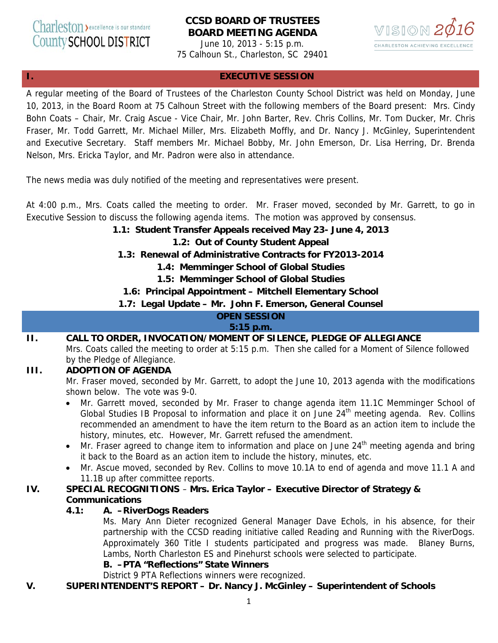# **CCSD BOARD OF TRUSTEES BOARD MEETING AGENDA**

June 10, 2013 - 5:15 p.m. 75 Calhoun St., Charleston, SC 29401



# **I. EXECUTIVE SESSION**

A regular meeting of the Board of Trustees of the Charleston County School District was held on Monday, June 10, 2013, in the Board Room at 75 Calhoun Street with the following members of the Board present: Mrs. Cindy Bohn Coats – Chair, Mr. Craig Ascue - Vice Chair, Mr. John Barter, Rev. Chris Collins, Mr. Tom Ducker, Mr. Chris Fraser, Mr. Todd Garrett, Mr. Michael Miller, Mrs. Elizabeth Moffly, and Dr. Nancy J. McGinley, Superintendent and Executive Secretary. Staff members Mr. Michael Bobby, Mr. John Emerson, Dr. Lisa Herring, Dr. Brenda Nelson, Mrs. Ericka Taylor, and Mr. Padron were also in attendance.

The news media was duly notified of the meeting and representatives were present.

At 4:00 p.m., Mrs. Coats called the meeting to order. Mr. Fraser moved, seconded by Mr. Garrett, to go in Executive Session to discuss the following agenda items. The motion was approved by consensus.

## **1.1: Student Transfer Appeals received May 23- June 4, 2013**

## **1.2: Out of County Student Appeal**

- **1.3: Renewal of Administrative Contracts for FY2013-2014** 
	- **1.4: Memminger School of Global Studies**
	- **1.5: Memminger School of Global Studies**

## **1.6: Principal Appointment – Mitchell Elementary School**

## **1.7: Legal Update – Mr. John F. Emerson, General Counsel**

#### **OPEN SESSION**

#### **5:15 p.m.**

**II. CALL TO ORDER, INVOCATION/MOMENT OF SILENCE, PLEDGE OF ALLEGIANCE**  Mrs. Coats called the meeting to order at 5:15 p.m. Then she called for a Moment of Silence followed by the Pledge of Allegiance.

# **III. ADOPTION OF AGENDA**

Mr. Fraser moved, seconded by Mr. Garrett, to adopt the June 10, 2013 agenda with the modifications shown below. The vote was 9-0.

- Mr. Garrett moved, seconded by Mr. Fraser to change agenda item 11.1C Memminger School of Global Studies IB Proposal to information and place it on June  $24<sup>th</sup>$  meeting agenda. Rev. Collins recommended an amendment to have the item return to the Board as an action item to include the history, minutes, etc. However, Mr. Garrett refused the amendment.
- Mr. Fraser agreed to change item to information and place on June  $24<sup>th</sup>$  meeting agenda and bring it back to the Board as an action item to include the history, minutes, etc.
- Mr. Ascue moved, seconded by Rev. Collins to move 10.1A to end of agenda and move 11.1 A and 11.1B up after committee reports.

## **IV. SPECIAL RECOGNITIONS** – **Mrs. Erica Taylor – Executive Director of Strategy & Communications**

#### **4.1: A. –RiverDogs Readers**

Ms. Mary Ann Dieter recognized General Manager Dave Echols, in his absence, for their partnership with the CCSD reading initiative called Reading and Running with the RiverDogs. Approximately 360 Title I students participated and progress was made. Blaney Burns, Lambs, North Charleston ES and Pinehurst schools were selected to participate.

# **B. –PTA "Reflections" State Winners**

District 9 PTA Reflections winners were recognized.

## **V. SUPERINTENDENT'S REPORT – Dr. Nancy J. McGinley – Superintendent of Schools**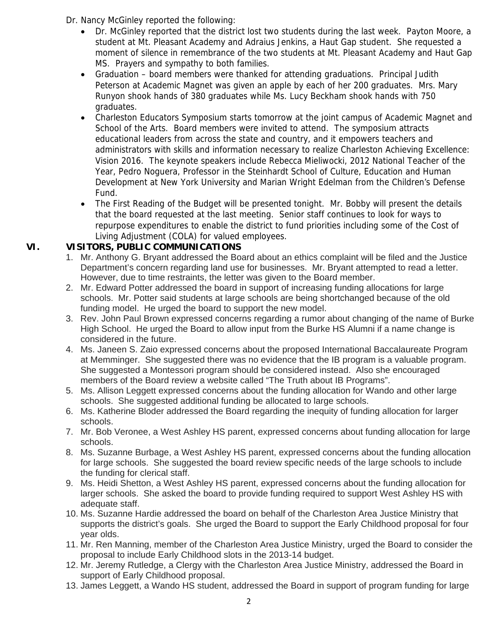- Dr. Nancy McGinley reported the following:
	- Dr. McGinley reported that the district lost two students during the last week. Payton Moore, a student at Mt. Pleasant Academy and Adraius Jenkins, a Haut Gap student. She requested a moment of silence in remembrance of the two students at Mt. Pleasant Academy and Haut Gap MS. Prayers and sympathy to both families.
	- Graduation board members were thanked for attending graduations. Principal Judith Peterson at Academic Magnet was given an apple by each of her 200 graduates. Mrs. Mary Runyon shook hands of 380 graduates while Ms. Lucy Beckham shook hands with 750 graduates.
	- Charleston Educators Symposium starts tomorrow at the joint campus of Academic Magnet and School of the Arts. Board members were invited to attend. The symposium attracts educational leaders from across the state and country, and it empowers teachers and administrators with skills and information necessary to realize Charleston Achieving Excellence: Vision 2016. The keynote speakers include Rebecca Mieliwocki, 2012 National Teacher of the Year, Pedro Noguera, Professor in the Steinhardt School of Culture, Education and Human Development at New York University and Marian Wright Edelman from the Children's Defense Fund.
	- The First Reading of the Budget will be presented tonight. Mr. Bobby will present the details that the board requested at the last meeting. Senior staff continues to look for ways to repurpose expenditures to enable the district to fund priorities including some of the Cost of Living Adjustment (COLA) for valued employees.

# **VI. VISITORS, PUBLIC COMMUNICATIONS**

- 1. Mr. Anthony G. Bryant addressed the Board about an ethics complaint will be filed and the Justice Department's concern regarding land use for businesses. Mr. Bryant attempted to read a letter. However, due to time restraints, the letter was given to the Board member.
- 2. Mr. Edward Potter addressed the board in support of increasing funding allocations for large schools. Mr. Potter said students at large schools are being shortchanged because of the old funding model. He urged the board to support the new model.
- 3. Rev. John Paul Brown expressed concerns regarding a rumor about changing of the name of Burke High School. He urged the Board to allow input from the Burke HS Alumni if a name change is considered in the future.
- 4. Ms. Janeen S. Zaio expressed concerns about the proposed International Baccalaureate Program at Memminger. She suggested there was no evidence that the IB program is a valuable program. She suggested a Montessori program should be considered instead. Also she encouraged members of the Board review a website called "The Truth about IB Programs".
- 5. Ms. Allison Leggett expressed concerns about the funding allocation for Wando and other large schools. She suggested additional funding be allocated to large schools.
- 6. Ms. Katherine Bloder addressed the Board regarding the inequity of funding allocation for larger schools.
- 7. Mr. Bob Veronee, a West Ashley HS parent, expressed concerns about funding allocation for large schools.
- 8. Ms. Suzanne Burbage, a West Ashley HS parent, expressed concerns about the funding allocation for large schools. She suggested the board review specific needs of the large schools to include the funding for clerical staff.
- 9. Ms. Heidi Shetton, a West Ashley HS parent, expressed concerns about the funding allocation for larger schools. She asked the board to provide funding required to support West Ashley HS with adequate staff.
- 10. Ms. Suzanne Hardie addressed the board on behalf of the Charleston Area Justice Ministry that supports the district's goals. She urged the Board to support the Early Childhood proposal for four year olds.
- 11. Mr. Ren Manning, member of the Charleston Area Justice Ministry, urged the Board to consider the proposal to include Early Childhood slots in the 2013-14 budget.
- 12. Mr. Jeremy Rutledge, a Clergy with the Charleston Area Justice Ministry, addressed the Board in support of Early Childhood proposal.
- 13. James Leggett, a Wando HS student, addressed the Board in support of program funding for large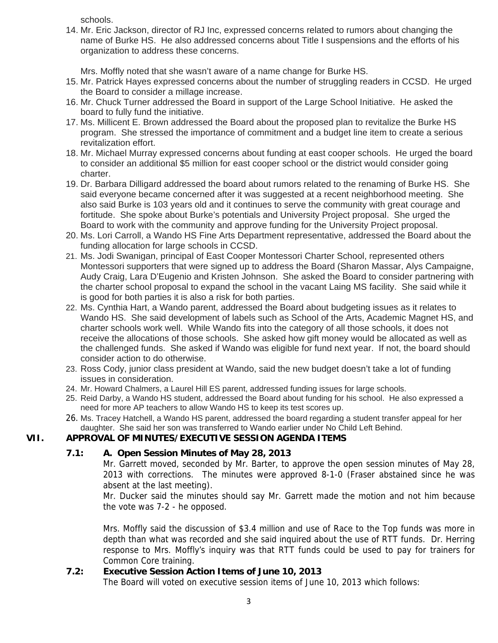schools.

14. Mr. Eric Jackson, director of RJ Inc, expressed concerns related to rumors about changing the name of Burke HS. He also addressed concerns about Title I suspensions and the efforts of his organization to address these concerns.

Mrs. Moffly noted that she wasn't aware of a name change for Burke HS.

- 15. Mr. Patrick Hayes expressed concerns about the number of struggling readers in CCSD. He urged the Board to consider a millage increase.
- 16. Mr. Chuck Turner addressed the Board in support of the Large School Initiative. He asked the board to fully fund the initiative.
- 17. Ms. Millicent E. Brown addressed the Board about the proposed plan to revitalize the Burke HS program. She stressed the importance of commitment and a budget line item to create a serious revitalization effort.
- 18. Mr. Michael Murray expressed concerns about funding at east cooper schools. He urged the board to consider an additional \$5 million for east cooper school or the district would consider going charter.
- 19. Dr. Barbara Dilligard addressed the board about rumors related to the renaming of Burke HS. She said everyone became concerned after it was suggested at a recent neighborhood meeting. She also said Burke is 103 years old and it continues to serve the community with great courage and fortitude. She spoke about Burke's potentials and University Project proposal. She urged the Board to work with the community and approve funding for the University Project proposal.
- 20. Ms. Lori Carroll, a Wando HS Fine Arts Department representative, addressed the Board about the funding allocation for large schools in CCSD.
- 21. Ms. Jodi Swanigan, principal of East Cooper Montessori Charter School, represented others Montessori supporters that were signed up to address the Board (Sharon Massar, Alys Campaigne, Audy Craig, Lara D'Eugenio and Kristen Johnson. She asked the Board to consider partnering with the charter school proposal to expand the school in the vacant Laing MS facility. She said while it is good for both parties it is also a risk for both parties.
- 22. Ms. Cynthia Hart, a Wando parent, addressed the Board about budgeting issues as it relates to Wando HS. She said development of labels such as School of the Arts, Academic Magnet HS, and charter schools work well. While Wando fits into the category of all those schools, it does not receive the allocations of those schools. She asked how gift money would be allocated as well as the challenged funds. She asked if Wando was eligible for fund next year. If not, the board should consider action to do otherwise.
- 23. Ross Cody, junior class president at Wando, said the new budget doesn't take a lot of funding issues in consideration.
- 24. Mr. Howard Chalmers, a Laurel Hill ES parent, addressed funding issues for large schools.
- 25. Reid Darby, a Wando HS student, addressed the Board about funding for his school. He also expressed a need for more AP teachers to allow Wando HS to keep its test scores up.
- 26. Ms. Tracey Hatchell, a Wando HS parent, addressed the board regarding a student transfer appeal for her daughter. She said her son was transferred to Wando earlier under No Child Left Behind.

## **VII. APPROVAL OF MINUTES/EXECUTIVE SESSION AGENDA ITEMS**

## **7.1: A. Open Session Minutes of May 28, 2013**

Mr. Garrett moved, seconded by Mr. Barter, to approve the open session minutes of May 28, 2013 with corrections. The minutes were approved 8-1-0 (Fraser abstained since he was absent at the last meeting).

Mr. Ducker said the minutes should say Mr. Garrett made the motion and not him because the vote was 7-2 - he opposed.

Mrs. Moffly said the discussion of \$3.4 million and use of Race to the Top funds was more in depth than what was recorded and she said inquired about the use of RTT funds. Dr. Herring response to Mrs. Moffly's inquiry was that RTT funds could be used to pay for trainers for Common Core training.

## **7.2: Executive Session Action Items of June 10, 2013**

The Board will voted on executive session items of June 10, 2013 which follows: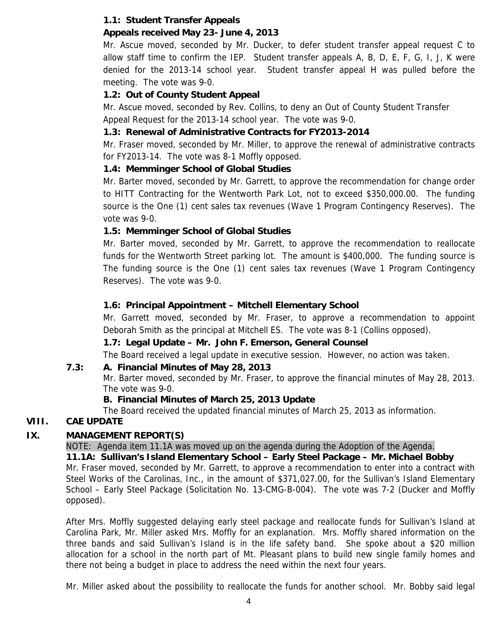# **1.1: Student Transfer Appeals**

# **Appeals received May 23- June 4, 2013**

Mr. Ascue moved, seconded by Mr. Ducker, to defer student transfer appeal request C to allow staff time to confirm the IEP. Student transfer appeals A, B, D, E, F, G, I, J, K were denied for the 2013-14 school year. Student transfer appeal H was pulled before the meeting. The vote was 9-0.

# **1.2: Out of County Student Appeal**

Mr. Ascue moved, seconded by Rev. Collins, to deny an Out of County Student Transfer Appeal Request for the 2013-14 school year. The vote was 9-0.

# **1.3: Renewal of Administrative Contracts for FY2013-2014**

Mr. Fraser moved, seconded by Mr. Miller, to approve the renewal of administrative contracts for FY2013-14. The vote was 8-1 Moffly opposed.

# **1.4: Memminger School of Global Studies**

Mr. Barter moved, seconded by Mr. Garrett, to approve the recommendation for change order to HITT Contracting for the Wentworth Park Lot, not to exceed \$350,000.00. The funding source is the One (1) cent sales tax revenues (Wave 1 Program Contingency Reserves). The vote was 9-0.

# **1.5: Memminger School of Global Studies**

Mr. Barter moved, seconded by Mr. Garrett, to approve the recommendation to reallocate funds for the Wentworth Street parking lot. The amount is \$400,000. The funding source is The funding source is the One (1) cent sales tax revenues (Wave 1 Program Contingency Reserves). The vote was 9-0.

# **1.6: Principal Appointment – Mitchell Elementary School**

Mr. Garrett moved, seconded by Mr. Fraser, to approve a recommendation to appoint Deborah Smith as the principal at Mitchell ES. The vote was 8-1 (Collins opposed).

# **1.7: Legal Update – Mr. John F. Emerson, General Counsel**

The Board received a legal update in executive session. However, no action was taken.

## **7.3: A. Financial Minutes of May 28, 2013**

Mr. Barter moved, seconded by Mr. Fraser, to approve the financial minutes of May 28, 2013. The vote was 9-0.

## **B. Financial Minutes of March 25, 2013 Update**

The Board received the updated financial minutes of March 25, 2013 as information.

# **VIII. CAE UPDATE**

## **IX. MANAGEMENT REPORT(S)**

NOTE: Agenda item 11.1A was moved up on the agenda during the Adoption of the Agenda.

**11.1A: Sullivan's Island Elementary School – Early Steel Package – Mr. Michael Bobby** 

Mr. Fraser moved, seconded by Mr. Garrett, to approve a recommendation to enter into a contract with Steel Works of the Carolinas, Inc., in the amount of \$371,027.00, for the Sullivan's Island Elementary School – Early Steel Package (Solicitation No. 13-CMG-B-004). The vote was 7-2 (Ducker and Moffly opposed).

After Mrs. Moffly suggested delaying early steel package and reallocate funds for Sullivan's Island at Carolina Park, Mr. Miller asked Mrs. Moffly for an explanation. Mrs. Moffly shared information on the three bands and said Sullivan's Island is in the life safety band. She spoke about a \$20 million allocation for a school in the north part of Mt. Pleasant plans to build new single family homes and there not being a budget in place to address the need within the next four years.

Mr. Miller asked about the possibility to reallocate the funds for another school. Mr. Bobby said legal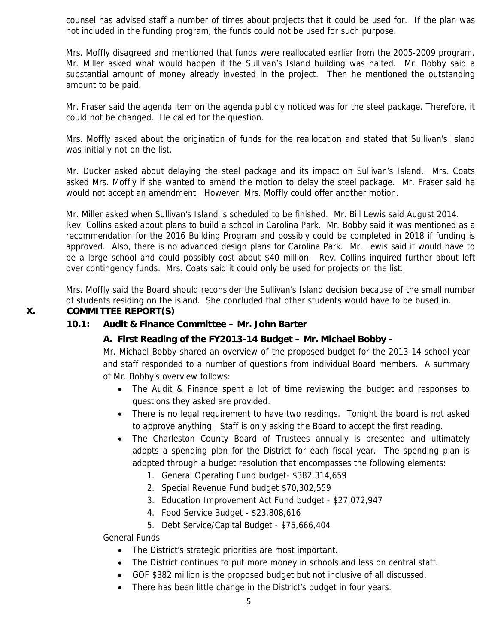counsel has advised staff a number of times about projects that it could be used for. If the plan was not included in the funding program, the funds could not be used for such purpose.

Mrs. Moffly disagreed and mentioned that funds were reallocated earlier from the 2005-2009 program. Mr. Miller asked what would happen if the Sullivan's Island building was halted. Mr. Bobby said a substantial amount of money already invested in the project. Then he mentioned the outstanding amount to be paid.

Mr. Fraser said the agenda item on the agenda publicly noticed was for the steel package. Therefore, it could not be changed. He called for the question.

Mrs. Moffly asked about the origination of funds for the reallocation and stated that Sullivan's Island was initially not on the list.

Mr. Ducker asked about delaying the steel package and its impact on Sullivan's Island. Mrs. Coats asked Mrs. Moffly if she wanted to amend the motion to delay the steel package. Mr. Fraser said he would not accept an amendment. However, Mrs. Moffly could offer another motion.

Mr. Miller asked when Sullivan's Island is scheduled to be finished. Mr. Bill Lewis said August 2014. Rev. Collins asked about plans to build a school in Carolina Park. Mr. Bobby said it was mentioned as a recommendation for the 2016 Building Program and possibly could be completed in 2018 if funding is approved. Also, there is no advanced design plans for Carolina Park. Mr. Lewis said it would have to be a large school and could possibly cost about \$40 million. Rev. Collins inquired further about left over contingency funds. Mrs. Coats said it could only be used for projects on the list.

Mrs. Moffly said the Board should reconsider the Sullivan's Island decision because of the small number of students residing on the island. She concluded that other students would have to be bused in.

#### **X. COMMITTEE REPORT(S)**

#### **10.1: Audit & Finance Committee – Mr. John Barter**

## **A. First Reading of the FY2013-14 Budget – Mr. Michael Bobby -**

Mr. Michael Bobby shared an overview of the proposed budget for the 2013-14 school year and staff responded to a number of questions from individual Board members. A summary of Mr. Bobby's overview follows:

- The Audit & Finance spent a lot of time reviewing the budget and responses to questions they asked are provided.
- There is no legal requirement to have two readings. Tonight the board is not asked to approve anything. Staff is only asking the Board to accept the first reading.
- The Charleston County Board of Trustees annually is presented and ultimately adopts a spending plan for the District for each fiscal year. The spending plan is adopted through a budget resolution that encompasses the following elements:
	- 1. General Operating Fund budget- \$382,314,659
	- 2. Special Revenue Fund budget \$70,302,559
	- 3. Education Improvement Act Fund budget \$27,072,947
	- 4. Food Service Budget \$23,808,616
	- 5. Debt Service/Capital Budget \$75,666,404

General Funds

- The District's strategic priorities are most important.
- The District continues to put more money in schools and less on central staff.
- GOF \$382 million is the proposed budget but not inclusive of all discussed.
- There has been little change in the District's budget in four years.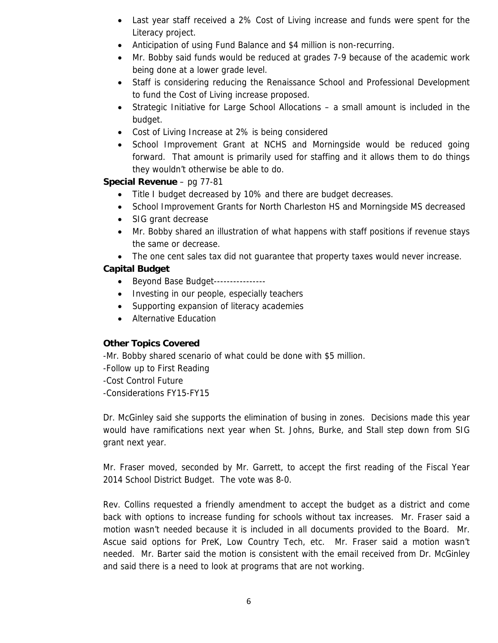- Last year staff received a 2% Cost of Living increase and funds were spent for the Literacy project.
- Anticipation of using Fund Balance and \$4 million is non-recurring.
- Mr. Bobby said funds would be reduced at grades 7-9 because of the academic work being done at a lower grade level.
- Staff is considering reducing the Renaissance School and Professional Development to fund the Cost of Living increase proposed.
- Strategic Initiative for Large School Allocations a small amount is included in the budget.
- Cost of Living Increase at 2% is being considered
- School Improvement Grant at NCHS and Morningside would be reduced going forward. That amount is primarily used for staffing and it allows them to do things they wouldn't otherwise be able to do.

## **Special Revenue** – pg 77-81

- Title I budget decreased by 10% and there are budget decreases.
- School Improvement Grants for North Charleston HS and Morningside MS decreased
- SIG grant decrease
- Mr. Bobby shared an illustration of what happens with staff positions if revenue stays the same or decrease.
- The one cent sales tax did not quarantee that property taxes would never increase.

## **Capital Budget**

- Beyond Base Budget----------------
- Investing in our people, especially teachers
- Supporting expansion of literacy academies
- Alternative Education

## **Other Topics Covered**

-Mr. Bobby shared scenario of what could be done with \$5 million.

-Follow up to First Reading

-Cost Control Future

-Considerations FY15-FY15

Dr. McGinley said she supports the elimination of busing in zones. Decisions made this year would have ramifications next year when St. Johns, Burke, and Stall step down from SIG grant next year.

Mr. Fraser moved, seconded by Mr. Garrett, to accept the first reading of the Fiscal Year 2014 School District Budget. The vote was 8-0.

Rev. Collins requested a friendly amendment to accept the budget as a district and come back with options to increase funding for schools without tax increases. Mr. Fraser said a motion wasn't needed because it is included in all documents provided to the Board. Mr. Ascue said options for PreK, Low Country Tech, etc. Mr. Fraser said a motion wasn't needed. Mr. Barter said the motion is consistent with the email received from Dr. McGinley and said there is a need to look at programs that are not working.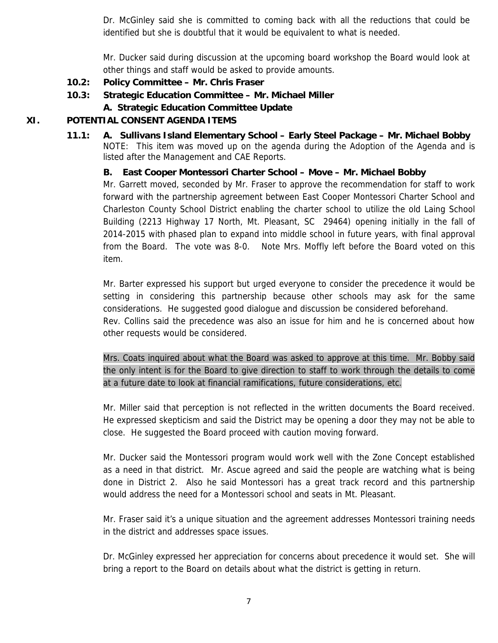Dr. McGinley said she is committed to coming back with all the reductions that could be identified but she is doubtful that it would be equivalent to what is needed.

Mr. Ducker said during discussion at the upcoming board workshop the Board would look at other things and staff would be asked to provide amounts.

- **10.2: Policy Committee Mr. Chris Fraser**
- **10.3: Strategic Education Committee Mr. Michael Miller**
	- **A. Strategic Education Committee Update**

# **XI. POTENTIAL CONSENT AGENDA ITEMS**

**11.1: A. Sullivans Island Elementary School – Early Steel Package – Mr. Michael Bobby**  NOTE: This item was moved up on the agenda during the Adoption of the Agenda and is listed after the Management and CAE Reports.

# **B. East Cooper Montessori Charter School – Move – Mr. Michael Bobby**

Mr. Garrett moved, seconded by Mr. Fraser to approve the recommendation for staff to work forward with the partnership agreement between East Cooper Montessori Charter School and Charleston County School District enabling the charter school to utilize the old Laing School Building (2213 Highway 17 North, Mt. Pleasant, SC 29464) opening initially in the fall of 2014-2015 with phased plan to expand into middle school in future years, with final approval from the Board. The vote was 8-0. Note Mrs. Moffly left before the Board voted on this item.

Mr. Barter expressed his support but urged everyone to consider the precedence it would be setting in considering this partnership because other schools may ask for the same considerations. He suggested good dialogue and discussion be considered beforehand.

Rev. Collins said the precedence was also an issue for him and he is concerned about how other requests would be considered.

Mrs. Coats inquired about what the Board was asked to approve at this time. Mr. Bobby said the only intent is for the Board to give direction to staff to work through the details to come at a future date to look at financial ramifications, future considerations, etc.

Mr. Miller said that perception is not reflected in the written documents the Board received. He expressed skepticism and said the District may be opening a door they may not be able to close. He suggested the Board proceed with caution moving forward.

Mr. Ducker said the Montessori program would work well with the Zone Concept established as a need in that district. Mr. Ascue agreed and said the people are watching what is being done in District 2. Also he said Montessori has a great track record and this partnership would address the need for a Montessori school and seats in Mt. Pleasant.

Mr. Fraser said it's a unique situation and the agreement addresses Montessori training needs in the district and addresses space issues.

Dr. McGinley expressed her appreciation for concerns about precedence it would set. She will bring a report to the Board on details about what the district is getting in return.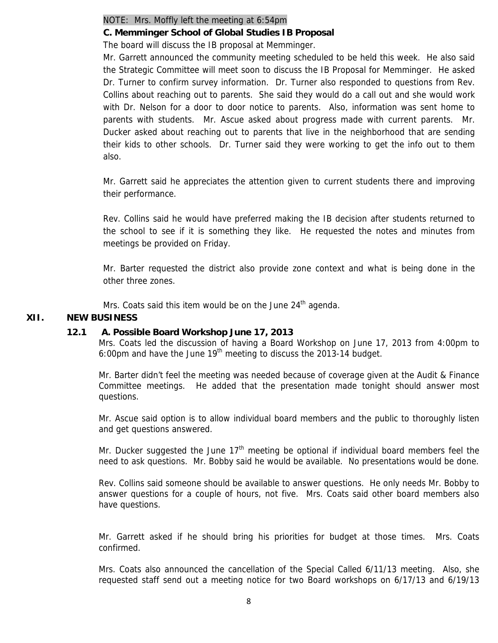#### NOTE: Mrs. Moffly left the meeting at 6:54pm

#### **C. Memminger School of Global Studies IB Proposal**

The board will discuss the IB proposal at Memminger.

Mr. Garrett announced the community meeting scheduled to be held this week. He also said the Strategic Committee will meet soon to discuss the IB Proposal for Memminger. He asked Dr. Turner to confirm survey information. Dr. Turner also responded to questions from Rev. Collins about reaching out to parents. She said they would do a call out and she would work with Dr. Nelson for a door to door notice to parents. Also, information was sent home to parents with students. Mr. Ascue asked about progress made with current parents. Mr. Ducker asked about reaching out to parents that live in the neighborhood that are sending their kids to other schools. Dr. Turner said they were working to get the info out to them also.

Mr. Garrett said he appreciates the attention given to current students there and improving their performance.

Rev. Collins said he would have preferred making the IB decision after students returned to the school to see if it is something they like. He requested the notes and minutes from meetings be provided on Friday.

Mr. Barter requested the district also provide zone context and what is being done in the other three zones.

Mrs. Coats said this item would be on the June  $24<sup>th</sup>$  agenda.

#### **XII. NEW BUSINESS**

#### **12.1 A. Possible Board Workshop June 17, 2013**

Mrs. Coats led the discussion of having a Board Workshop on June 17, 2013 from 4:00pm to 6:00pm and have the June  $19<sup>th</sup>$  meeting to discuss the 2013-14 budget.

Mr. Barter didn't feel the meeting was needed because of coverage given at the Audit & Finance Committee meetings. He added that the presentation made tonight should answer most questions.

Mr. Ascue said option is to allow individual board members and the public to thoroughly listen and get questions answered.

Mr. Ducker suggested the June  $17<sup>th</sup>$  meeting be optional if individual board members feel the need to ask questions. Mr. Bobby said he would be available. No presentations would be done.

Rev. Collins said someone should be available to answer questions. He only needs Mr. Bobby to answer questions for a couple of hours, not five. Mrs. Coats said other board members also have questions.

Mr. Garrett asked if he should bring his priorities for budget at those times. Mrs. Coats confirmed.

Mrs. Coats also announced the cancellation of the Special Called 6/11/13 meeting. Also, she requested staff send out a meeting notice for two Board workshops on 6/17/13 and 6/19/13